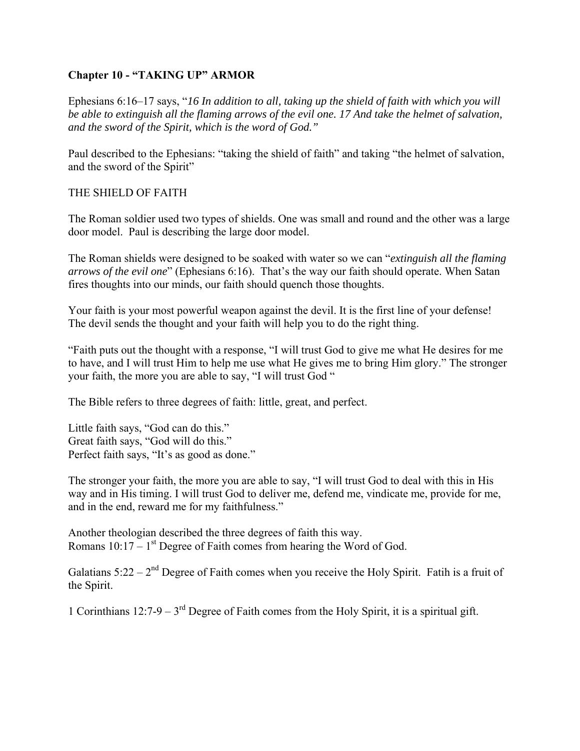# **Chapter 10 - "TAKING UP" ARMOR**

Ephesians 6:16–17 says, "*16 In addition to all, taking up the shield of faith with which you will be able to extinguish all the flaming arrows of the evil one. 17 And take the helmet of salvation, and the sword of the Spirit, which is the word of God."* 

Paul described to the Ephesians: "taking the shield of faith" and taking "the helmet of salvation, and the sword of the Spirit"

# THE SHIELD OF FAITH

The Roman soldier used two types of shields. One was small and round and the other was a large door model. Paul is describing the large door model.

The Roman shields were designed to be soaked with water so we can "*extinguish all the flaming arrows of the evil one*" (Ephesians 6:16). That's the way our faith should operate. When Satan fires thoughts into our minds, our faith should quench those thoughts.

Your faith is your most powerful weapon against the devil. It is the first line of your defense! The devil sends the thought and your faith will help you to do the right thing.

"Faith puts out the thought with a response, "I will trust God to give me what He desires for me to have, and I will trust Him to help me use what He gives me to bring Him glory." The stronger your faith, the more you are able to say, "I will trust God "

The Bible refers to three degrees of faith: little, great, and perfect.

Little faith says, "God can do this." Great faith says, "God will do this." Perfect faith says, "It's as good as done."

The stronger your faith, the more you are able to say, "I will trust God to deal with this in His way and in His timing. I will trust God to deliver me, defend me, vindicate me, provide for me, and in the end, reward me for my faithfulness."

Another theologian described the three degrees of faith this way. Romans  $10:17 - 1<sup>st</sup>$  Degree of Faith comes from hearing the Word of God.

Galatians  $5:22 - 2<sup>nd</sup>$  Degree of Faith comes when you receive the Holy Spirit. Fatih is a fruit of the Spirit.

1 Corinthians 12:7-9 –  $3<sup>rd</sup>$  Degree of Faith comes from the Holy Spirit, it is a spiritual gift.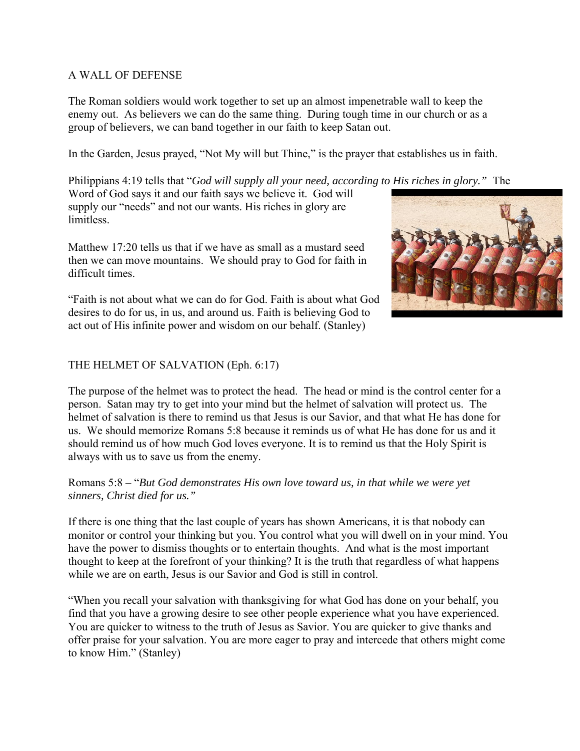### A WALL OF DEFENSE

The Roman soldiers would work together to set up an almost impenetrable wall to keep the enemy out. As believers we can do the same thing. During tough time in our church or as a group of believers, we can band together in our faith to keep Satan out.

In the Garden, Jesus prayed, "Not My will but Thine," is the prayer that establishes us in faith.

Philippians 4:19 tells that "*God will supply all your need, according to His riches in glory."* The

Word of God says it and our faith says we believe it. God will supply our "needs" and not our wants. His riches in glory are limitless.

Matthew 17:20 tells us that if we have as small as a mustard seed then we can move mountains. We should pray to God for faith in difficult times.

"Faith is not about what we can do for God. Faith is about what God desires to do for us, in us, and around us. Faith is believing God to act out of His infinite power and wisdom on our behalf. (Stanley)



# THE HELMET OF SALVATION (Eph. 6:17)

The purpose of the helmet was to protect the head. The head or mind is the control center for a person. Satan may try to get into your mind but the helmet of salvation will protect us. The helmet of salvation is there to remind us that Jesus is our Savior, and that what He has done for us. We should memorize Romans 5:8 because it reminds us of what He has done for us and it should remind us of how much God loves everyone. It is to remind us that the Holy Spirit is always with us to save us from the enemy.

Romans 5:8 – "*But God demonstrates His own love toward us, in that while we were yet sinners, Christ died for us."* 

If there is one thing that the last couple of years has shown Americans, it is that nobody can monitor or control your thinking but you. You control what you will dwell on in your mind. You have the power to dismiss thoughts or to entertain thoughts. And what is the most important thought to keep at the forefront of your thinking? It is the truth that regardless of what happens while we are on earth, Jesus is our Savior and God is still in control.

"When you recall your salvation with thanksgiving for what God has done on your behalf, you find that you have a growing desire to see other people experience what you have experienced. You are quicker to witness to the truth of Jesus as Savior. You are quicker to give thanks and offer praise for your salvation. You are more eager to pray and intercede that others might come to know Him." (Stanley)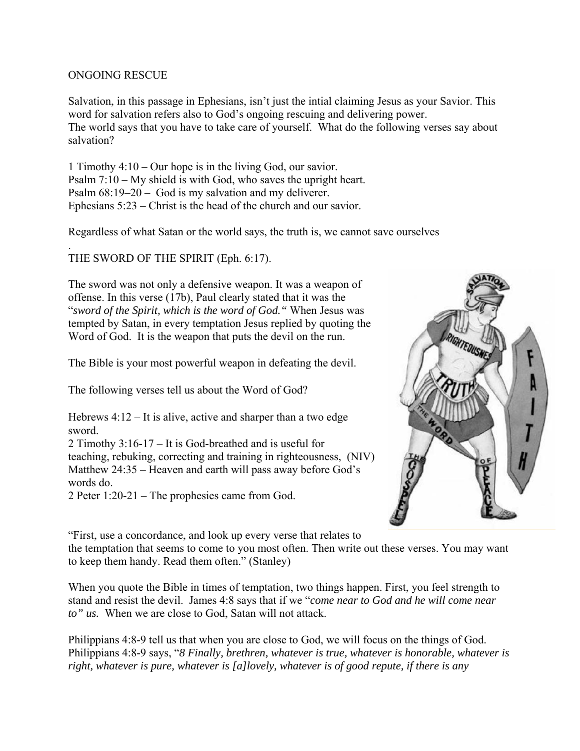#### ONGOING RESCUE

Salvation, in this passage in Ephesians, isn't just the intial claiming Jesus as your Savior. This word for salvation refers also to God's ongoing rescuing and delivering power. The world says that you have to take care of yourself. What do the following verses say about salvation?

1 Timothy 4:10 – Our hope is in the living God, our savior. Psalm 7:10 – My shield is with God, who saves the upright heart. Psalm 68:19–20 – God is my salvation and my deliverer. Ephesians 5:23 – Christ is the head of the church and our savior.

Regardless of what Satan or the world says, the truth is, we cannot save ourselves

. THE SWORD OF THE SPIRIT (Eph. 6:17).

The sword was not only a defensive weapon. It was a weapon of offense. In this verse (17b), Paul clearly stated that it was the "*sword of the Spirit, which is the word of God."* When Jesus was tempted by Satan, in every temptation Jesus replied by quoting the Word of God. It is the weapon that puts the devil on the run.

The Bible is your most powerful weapon in defeating the devil.

The following verses tell us about the Word of God?

Hebrews 4:12 – It is alive, active and sharper than a two edge sword.

2 Timothy 3:16-17 – It is God-breathed and is useful for teaching, rebuking, correcting and training in righteousness, (NIV) Matthew 24:35 – Heaven and earth will pass away before God's words do.

2 Peter 1:20-21 – The prophesies came from God.



"First, use a concordance, and look up every verse that relates to the temptation that seems to come to you most often. Then write out these verses. You may want to keep them handy. Read them often." (Stanley)

When you quote the Bible in times of temptation, two things happen. First, you feel strength to stand and resist the devil. James 4:8 says that if we "*come near to God and he will come near to" us.* When we are close to God, Satan will not attack.

Philippians 4:8-9 tell us that when you are close to God, we will focus on the things of God. Philippians 4:8-9 says, "*8 Finally, brethren, whatever is true, whatever is honorable, whatever is right, whatever is pure, whatever is [a]lovely, whatever is of good repute, if there is any*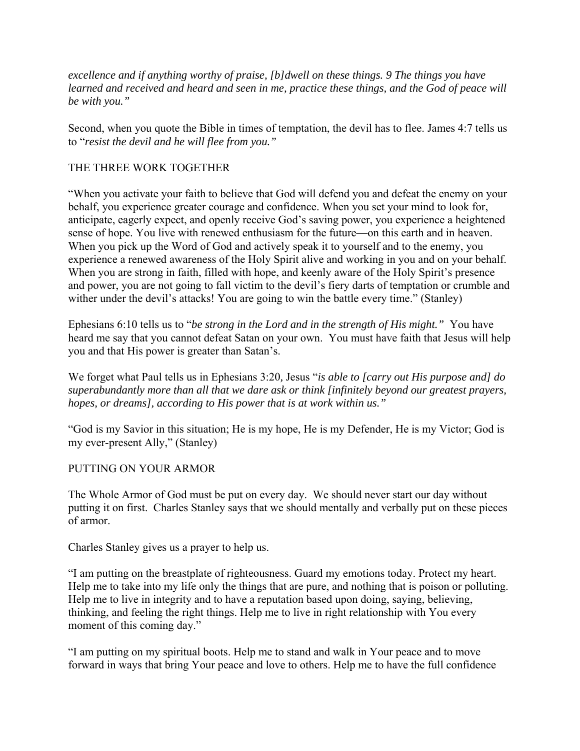*excellence and if anything worthy of praise, [b]dwell on these things. 9 The things you have learned and received and heard and seen in me, practice these things, and the God of peace will be with you."* 

Second, when you quote the Bible in times of temptation, the devil has to flee. James 4:7 tells us to "*resist the devil and he will flee from you."* 

## THE THREE WORK TOGETHER

"When you activate your faith to believe that God will defend you and defeat the enemy on your behalf, you experience greater courage and confidence. When you set your mind to look for, anticipate, eagerly expect, and openly receive God's saving power, you experience a heightened sense of hope. You live with renewed enthusiasm for the future—on this earth and in heaven. When you pick up the Word of God and actively speak it to yourself and to the enemy, you experience a renewed awareness of the Holy Spirit alive and working in you and on your behalf. When you are strong in faith, filled with hope, and keenly aware of the Holy Spirit's presence and power, you are not going to fall victim to the devil's fiery darts of temptation or crumble and wither under the devil's attacks! You are going to win the battle every time." (Stanley)

Ephesians 6:10 tells us to "*be strong in the Lord and in the strength of His might."* You have heard me say that you cannot defeat Satan on your own. You must have faith that Jesus will help you and that His power is greater than Satan's.

We forget what Paul tells us in Ephesians 3:20*,* Jesus "*is able to [carry out His purpose and] do superabundantly more than all that we dare ask or think [infinitely beyond our greatest prayers, hopes, or dreams], according to His power that is at work within us."* 

"God is my Savior in this situation; He is my hope, He is my Defender, He is my Victor; God is my ever-present Ally," (Stanley)

### PUTTING ON YOUR ARMOR

The Whole Armor of God must be put on every day. We should never start our day without putting it on first. Charles Stanley says that we should mentally and verbally put on these pieces of armor.

Charles Stanley gives us a prayer to help us.

"I am putting on the breastplate of righteousness. Guard my emotions today. Protect my heart. Help me to take into my life only the things that are pure, and nothing that is poison or polluting. Help me to live in integrity and to have a reputation based upon doing, saying, believing, thinking, and feeling the right things. Help me to live in right relationship with You every moment of this coming day."

"I am putting on my spiritual boots. Help me to stand and walk in Your peace and to move forward in ways that bring Your peace and love to others. Help me to have the full confidence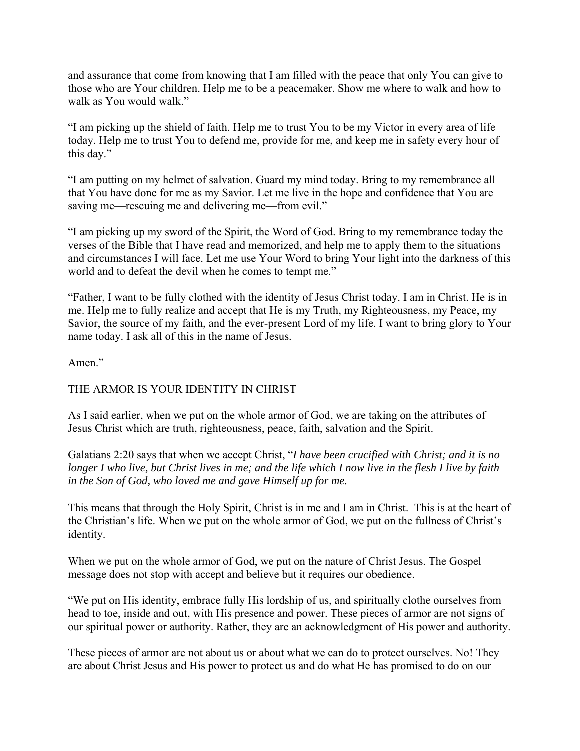and assurance that come from knowing that I am filled with the peace that only You can give to those who are Your children. Help me to be a peacemaker. Show me where to walk and how to walk as You would walk."

"I am picking up the shield of faith. Help me to trust You to be my Victor in every area of life today. Help me to trust You to defend me, provide for me, and keep me in safety every hour of this day."

"I am putting on my helmet of salvation. Guard my mind today. Bring to my remembrance all that You have done for me as my Savior. Let me live in the hope and confidence that You are saving me—rescuing me and delivering me—from evil."

"I am picking up my sword of the Spirit, the Word of God. Bring to my remembrance today the verses of the Bible that I have read and memorized, and help me to apply them to the situations and circumstances I will face. Let me use Your Word to bring Your light into the darkness of this world and to defeat the devil when he comes to tempt me."

"Father, I want to be fully clothed with the identity of Jesus Christ today. I am in Christ. He is in me. Help me to fully realize and accept that He is my Truth, my Righteousness, my Peace, my Savior, the source of my faith, and the ever-present Lord of my life. I want to bring glory to Your name today. I ask all of this in the name of Jesus.

## Amen."

# THE ARMOR IS YOUR IDENTITY IN CHRIST

As I said earlier, when we put on the whole armor of God, we are taking on the attributes of Jesus Christ which are truth, righteousness, peace, faith, salvation and the Spirit.

Galatians 2:20 says that when we accept Christ, "*I have been crucified with Christ; and it is no longer I who live, but Christ lives in me; and the life which I now live in the flesh I live by faith in the Son of God, who loved me and gave Himself up for me.*

This means that through the Holy Spirit, Christ is in me and I am in Christ. This is at the heart of the Christian's life. When we put on the whole armor of God, we put on the fullness of Christ's identity.

When we put on the whole armor of God, we put on the nature of Christ Jesus. The Gospel message does not stop with accept and believe but it requires our obedience.

"We put on His identity, embrace fully His lordship of us, and spiritually clothe ourselves from head to toe, inside and out, with His presence and power. These pieces of armor are not signs of our spiritual power or authority. Rather, they are an acknowledgment of His power and authority.

These pieces of armor are not about us or about what we can do to protect ourselves. No! They are about Christ Jesus and His power to protect us and do what He has promised to do on our